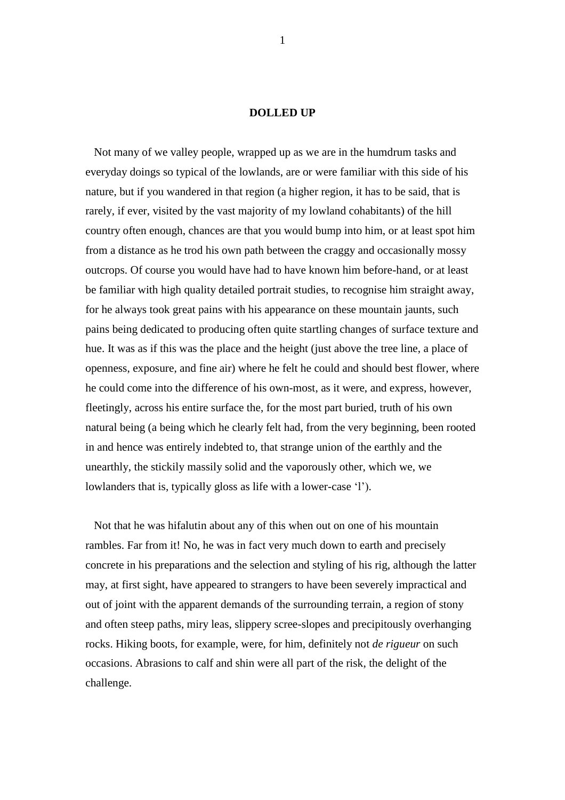## **DOLLED UP**

 Not many of we valley people, wrapped up as we are in the humdrum tasks and everyday doings so typical of the lowlands, are or were familiar with this side of his nature, but if you wandered in that region (a higher region, it has to be said, that is rarely, if ever, visited by the vast majority of my lowland cohabitants) of the hill country often enough, chances are that you would bump into him, or at least spot him from a distance as he trod his own path between the craggy and occasionally mossy outcrops. Of course you would have had to have known him before-hand, or at least be familiar with high quality detailed portrait studies, to recognise him straight away, for he always took great pains with his appearance on these mountain jaunts, such pains being dedicated to producing often quite startling changes of surface texture and hue. It was as if this was the place and the height (just above the tree line, a place of openness, exposure, and fine air) where he felt he could and should best flower, where he could come into the difference of his own-most, as it were, and express, however, fleetingly, across his entire surface the, for the most part buried, truth of his own natural being (a being which he clearly felt had, from the very beginning, been rooted in and hence was entirely indebted to, that strange union of the earthly and the unearthly, the stickily massily solid and the vaporously other, which we, we lowlanders that is, typically gloss as life with a lower-case 'l').

 Not that he was hifalutin about any of this when out on one of his mountain rambles. Far from it! No, he was in fact very much down to earth and precisely concrete in his preparations and the selection and styling of his rig, although the latter may, at first sight, have appeared to strangers to have been severely impractical and out of joint with the apparent demands of the surrounding terrain, a region of stony and often steep paths, miry leas, slippery scree-slopes and precipitously overhanging rocks. Hiking boots, for example, were, for him, definitely not *de rigueur* on such occasions. Abrasions to calf and shin were all part of the risk, the delight of the challenge.

1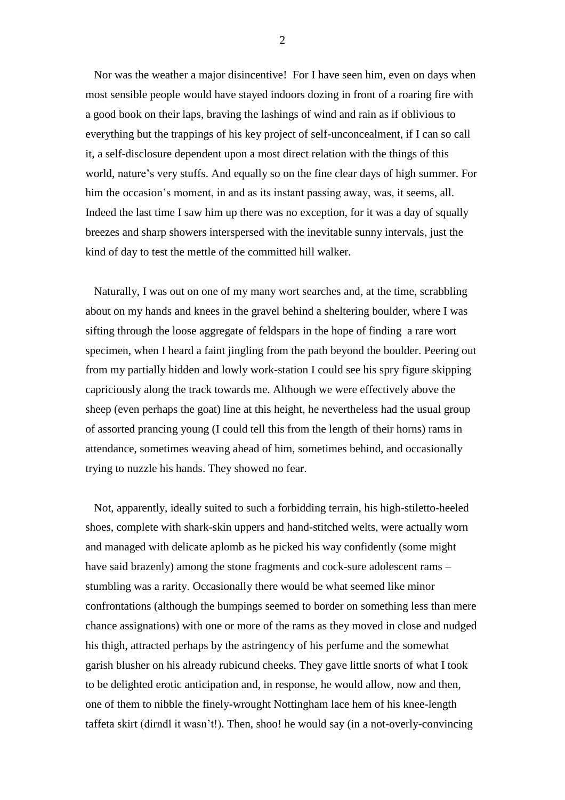Nor was the weather a major disincentive! For I have seen him, even on days when most sensible people would have stayed indoors dozing in front of a roaring fire with a good book on their laps, braving the lashings of wind and rain as if oblivious to everything but the trappings of his key project of self-unconcealment, if I can so call it, a self-disclosure dependent upon a most direct relation with the things of this world, nature's very stuffs. And equally so on the fine clear days of high summer. For him the occasion's moment, in and as its instant passing away, was, it seems, all. Indeed the last time I saw him up there was no exception, for it was a day of squally breezes and sharp showers interspersed with the inevitable sunny intervals, just the kind of day to test the mettle of the committed hill walker.

 Naturally, I was out on one of my many wort searches and, at the time, scrabbling about on my hands and knees in the gravel behind a sheltering boulder, where I was sifting through the loose aggregate of feldspars in the hope of finding a rare wort specimen, when I heard a faint jingling from the path beyond the boulder. Peering out from my partially hidden and lowly work-station I could see his spry figure skipping capriciously along the track towards me. Although we were effectively above the sheep (even perhaps the goat) line at this height, he nevertheless had the usual group of assorted prancing young (I could tell this from the length of their horns) rams in attendance, sometimes weaving ahead of him, sometimes behind, and occasionally trying to nuzzle his hands. They showed no fear.

 Not, apparently, ideally suited to such a forbidding terrain, his high-stiletto-heeled shoes, complete with shark-skin uppers and hand-stitched welts, were actually worn and managed with delicate aplomb as he picked his way confidently (some might have said brazenly) among the stone fragments and cock-sure adolescent rams – stumbling was a rarity. Occasionally there would be what seemed like minor confrontations (although the bumpings seemed to border on something less than mere chance assignations) with one or more of the rams as they moved in close and nudged his thigh, attracted perhaps by the astringency of his perfume and the somewhat garish blusher on his already rubicund cheeks. They gave little snorts of what I took to be delighted erotic anticipation and, in response, he would allow, now and then, one of them to nibble the finely-wrought Nottingham lace hem of his knee-length taffeta skirt (dirndl it wasn't!). Then, shoo! he would say (in a not-overly-convincing

2